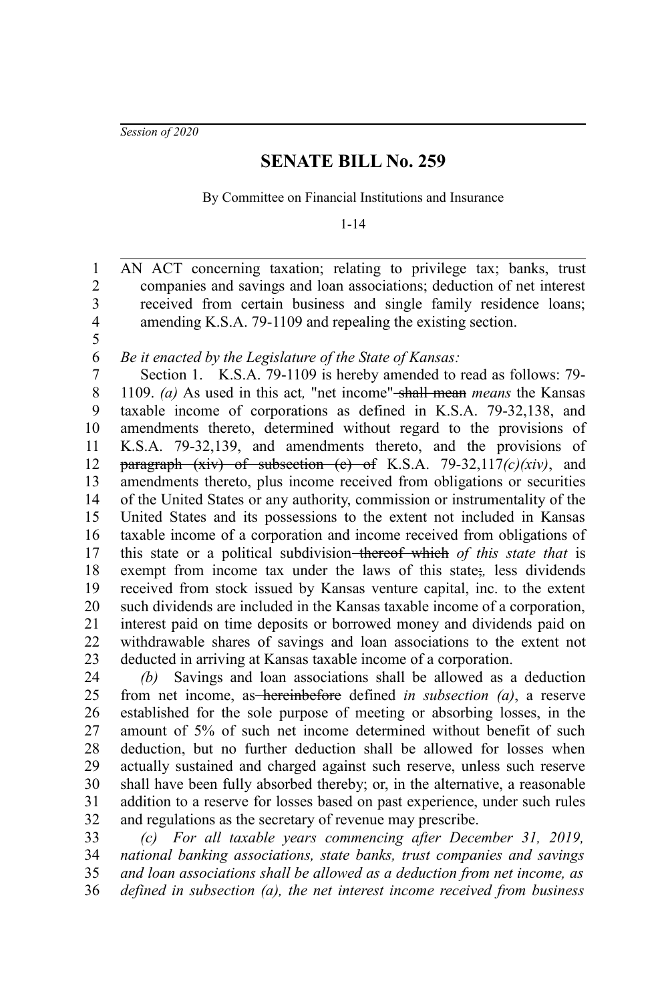*Session of 2020*

## **SENATE BILL No. 259**

By Committee on Financial Institutions and Insurance

1-14

AN ACT concerning taxation; relating to privilege tax; banks, trust companies and savings and loan associations; deduction of net interest received from certain business and single family residence loans; amending K.S.A. 79-1109 and repealing the existing section. 1 2 3 4

5

*Be it enacted by the Legislature of the State of Kansas:* 6

Section 1. K.S.A. 79-1109 is hereby amended to read as follows: 79- 1109. *(a)* As used in this act*,* "net income" shall mean *means* the Kansas taxable income of corporations as defined in K.S.A. 79-32,138, and amendments thereto, determined without regard to the provisions of K.S.A. 79-32,139, and amendments thereto, and the provisions of paragraph (xiv) of subsection (c) of K.S.A. 79-32,117*(c)(xiv)*, and amendments thereto, plus income received from obligations or securities of the United States or any authority, commission or instrumentality of the United States and its possessions to the extent not included in Kansas taxable income of a corporation and income received from obligations of this state or a political subdivision thereof which *of this state that* is exempt from income tax under the laws of this state;*,* less dividends received from stock issued by Kansas venture capital, inc. to the extent such dividends are included in the Kansas taxable income of a corporation, interest paid on time deposits or borrowed money and dividends paid on withdrawable shares of savings and loan associations to the extent not deducted in arriving at Kansas taxable income of a corporation. 7 8 9 10 11 12 13 14 15 16 17 18 19 20 21 22 23

*(b)* Savings and loan associations shall be allowed as a deduction from net income, as hereinbefore defined *in subsection (a)*, a reserve established for the sole purpose of meeting or absorbing losses, in the amount of 5% of such net income determined without benefit of such deduction, but no further deduction shall be allowed for losses when actually sustained and charged against such reserve, unless such reserve shall have been fully absorbed thereby; or, in the alternative, a reasonable addition to a reserve for losses based on past experience, under such rules and regulations as the secretary of revenue may prescribe. 24 25 26 27 28 29 30 31 32

*(c) For all taxable years commencing after December 31, 2019, national banking associations, state banks, trust companies and savings and loan associations shall be allowed as a deduction from net income, as defined in subsection (a), the net interest income received from business* 33 34 35 36